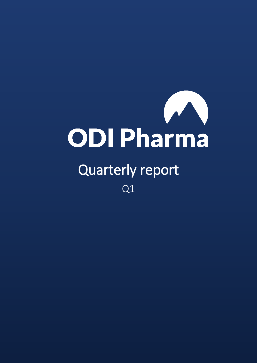

# Quarterly report Q1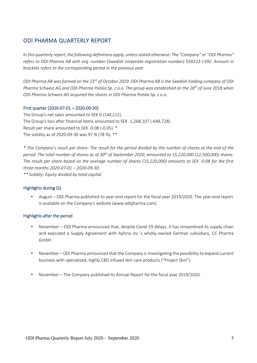## ODI PHARMA QUARTERLY REPORT

*In this quarterly report, the following definitions apply, unless stated otherwise: The "Company" or "ODI Pharma" refers to ODI Pharma AB with org. number (Swedish corporate registration number) 559223-1392. Amount in brackets refers to the corresponding period in the previous year.*

*ODI Pharma AB was formed on the 23rd of October 2019. ODI Pharma AB is the Swedish holding company of ODI Pharma Schweiz AG and ODI Pharma Polska Sp. z o.o. The group was established on the 28th of June 2018 when ODI Pharma Schweiz AG acquired the shares in ODI Pharma Polska Sp. z o.o.*

#### First quarter (2020-07-01 – 2020-09-30)

The Group's net sales amounted to SEK 0 (144,212). The Group's loss after financial items amounted to SEK -1,268,107 (-648,728). Result per share amounted to SEK -0.08 (-0.05). \* The solidity as of 2020-09-30 was 97 % (78 %). \*\*

*\* The Company's result per share: The result for the period divided by the number of shares at the end of the period. The total number of shares as of 30th of September 2020, amounted to 15,220,000 (12,500,000) shares. The result per share based on the average number of shares (15,220,000) amounts to SEK -0.08 for the first three months 2020-07-01 – 2020-09-30.*

*\*\* Solidity: Equity divided by total capital.*

#### Highlights during Q1

• August – ODI Pharma published its year-end report for the fiscal year 2019/2020. The year-end report is available on the Company's website (www.odipharma.com).

#### Highlights after the period

- November ODI Pharma announced that, despite Covid-19 delays, it has streamlined its supply chain and executed a Supply Agreement with Aphria Inc.'s wholly-owned German subsidiary, CC Pharma GmbH.
- November ODI Pharma announced that the Company is investigating the possibility to expand current business with specialized, highly CBD infused skin care products ("Project Skin").
- November The Company published its Annual Report for the fiscal year 2019/2020.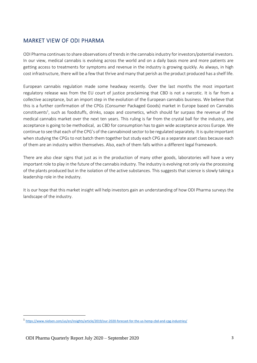# MARKET VIEW OF ODI PHARMA

ODI Pharma continues to share observations of trends in the cannabis industry for investors/potential investors. In our view, medical cannabis is evolving across the world and on a daily basis more and more patients are getting access to treatments for symptoms and revenue in the industry is growing quickly. As always, in high cost infrastructure, there will be a few that thrive and many that perish as the product produced has a shelf life.

European cannabis regulation made some headway recently. Over the last months the most important regulatory release was from the EU court of justice proclaiming that CBD is not a narcotic. It is far from a collective acceptance, but an import step in the evolution of the European cannabis business. We believe that this is a further confirmation of the CPGs (Consumer Packaged Goods) market in Europe based on Cannabis constituents<sup>1</sup>, such as foodstuffs, drinks, soaps and cosmetics, which should far surpass the revenue of the medical cannabis market over the next ten years. This ruling is far from the crystal ball for the industry, and acceptance is going to be methodical, as CBD for consumption has to gain wide acceptance across Europe. We continue to see that each of the CPG's of the cannabinoid sector to be regulated separately. It is quite important when studying the CPGs to not batch them together but study each CPG as a separate asset class because each of them are an industry within themselves. Also, each of them falls within a different legal framework.

There are also clear signs that just as in the production of many other goods, laboratories will have a very important role to play in the future of the cannabis industry. The industry is evolving not only via the processing of the plants produced but in the isolation of the active substances. This suggests that science is slowly taking a leadership role in the industry.

It is our hope that this market insight will help investors gain an understanding of how ODI Pharma surveys the landscape of the industry.

<u>.</u>

<sup>1</sup> <https://www.nielsen.com/us/en/insights/article/2019/our-2020-forecast-for-the-us-hemp-cbd-and-cpg-industries/>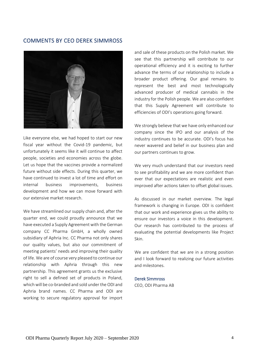## COMMENTS BY CEO DEREK SIMMROSS



Like everyone else, we had hoped to start our new fiscal year without the Covid-19 pandemic, but unfortunately it seems like it will continue to affect people, societies and economies across the globe. Let us hope that the vaccines provide a normalized future without side effects. During this quarter, we have continued to invest a lot of time and effort on internal business improvements, business development and how we can move forward with our extensive market research.

We have streamlined our supply chain and, after the quarter end, we could proudly announce that we have executed a Supply Agreement with the German company CC Pharma GmbH, a wholly owned subsidiary of Aphria Inc. CC Pharma not only shares our quality values, but also our commitment of meeting patients' needs and improving their quality of life. We are of course very pleased to continue our relationship with Aphria through this new partnership. This agreement grants us the exclusive right to sell a defined set of products in Poland, which will be co-branded and sold under the ODI and Aphria brand names. CC Pharma and ODI are working to secure regulatory approval for import

and sale of these products on the Polish market. We see that this partnership will contribute to our operational efficiency and it is exciting to further advance the terms of our relationship to include a broader product offering. Our goal remains to represent the best and most technologically advanced producer of medical cannabis in the industry for the Polish people. We are also confident that this Supply Agreement will contribute to efficiencies of ODI's operations going forward.

We strongly believe that we have only enhanced our company since the IPO and our analysis of the industry continues to be accurate. ODI's focus has never wavered and belief in our business plan and our partners continues to grow.

We very much understand that our investors need to see profitability and we are more confident than ever that our expectations are realistic and even improved after actions taken to offset global issues.

As discussed in our market overview. The legal framework is changing in Europe. ODI is confident that our work and experience gives us the ability to ensure our investors a voice in this development. Our research has contributed to the process of evaluating the potential developments like Project Skin.

We are confident that we are in a strong position and I look forward to realizing our future activities and milestones.

#### Derek Simmross

CEO, ODI Pharma AB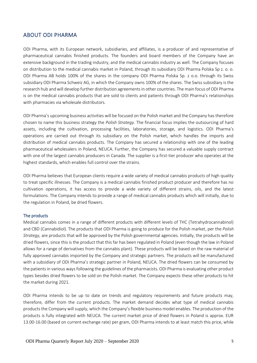## ABOUT ODI PHARMA

ODI Pharma, with its European network, subsidiaries, and affiliates, is a producer of and representative of pharmaceutical cannabis finished products. The founders and board members of the Company have an extensive background in the trading industry, and the medical cannabis industry as well. The Company focuses on distribution to the medical cannabis market in Poland, through its subsidiary ODI Pharma Polska Sp z. o. o. ODI Pharma AB holds 100% of the shares in the company ODI Pharma Polska Sp. z o.o. through its Swiss subsidiary ODI Pharma Schweiz AG, in which the Company owns 100% of the shares. The Swiss subsidiary is the research hub and will develop further distribution agreements in other countries. The main focus of ODI Pharma is on the medical cannabis products that are sold to clients and patients through ODI Pharma's relationships with pharmacies via wholesale distributors.

ODI Pharma's upcoming business activities will be focused on the Polish market and the Company has therefore chosen to name this business strategy the *Polish Strategy*. The financial focus implies the outsourcing of hard assets, including the cultivation, processing facilities, laboratories, storage, and logistics. ODI Pharma's operations are carried out through its subsidiary on the Polish market, which handles the imports and distribution of medical cannabis products. The Company has secured a relationship with one of the leading pharmaceutical wholesalers in Poland, NEUCA. Further, the Company has secured a valuable supply contract with one of the largest cannabis producers in Canada. The supplier is a first-tier producer who operates at the highest standards, which enables full control over the strains.

ODI Pharma believes that European clients require a wide variety of medical cannabis products of high quality to treat specific illnesses. The Company is a medical cannabis finished product producer and therefore has no cultivation operations, it has access to provide a wide variety of different strains, oils, and the latest formulations. The Company intends to provide a range of medical cannabis products which will initially, due to the regulation in Poland, be dried flowers.

#### The products

Medical cannabis comes in a range of different products with different levels of THC (Tetrahydrocannabinol) and CBD (Cannabidiol). The products that ODI Pharma is going to produce for the Polish market, per the *Polish Strategy,* are products that will be approved by the Polish governmental agencies. Initially, the products will be dried flowers, since this is the product that this far has been regulated in Poland (even though the law in Poland allows for a range of derivatives from the cannabis plant). These products will be based on the raw material of fully approved cannabis imported by the Company and strategic partners. The products will be manufactured with a subsidiary of ODI Pharma's strategic partner in Poland, NEUCA. The dried flowers can be consumed by the patients in various ways following the guidelines of the pharmacists. ODI Pharma is evaluating other product types besides dried flowers to be sold on the Polish market. The Company expects these other products to hit the market during 2021.

ODI Pharma intends to be up to date on trends and regulatory requirements and future products may, therefore, differ from the current products. The market demand decides what type of medical cannabis products the Company will supply, which the Company's flexible business model enables. The production of the products is fully integrated with NEUCA. The current market price of dried flowers in Poland is approx. EUR 13.00-16.00 (based on current exchange rate) per gram, ODI Pharma intends to at least match this price, while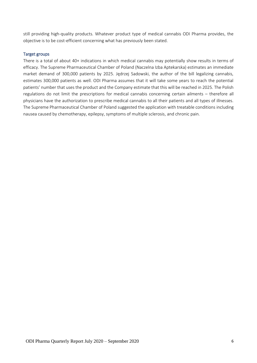still providing high-quality products. Whatever product type of medical cannabis ODI Pharma provides, the objective is to be cost-efficient concerning what has previously been stated.

#### Target groups

There is a total of about 40+ indications in which medical cannabis may potentially show results in terms of efficacy. The Supreme Pharmaceutical Chamber of Poland (Naczelna Izba Aptekarska) estimates an immediate market demand of 300,000 patients by 2025. Jędrzej Sadowski, the author of the bill legalizing cannabis, estimates 300,000 patients as well. ODI Pharma assumes that it will take some years to reach the potential patients' number that uses the product and the Company estimate that this will be reached in 2025. The Polish regulations do not limit the prescriptions for medical cannabis concerning certain ailments – therefore all physicians have the authorization to prescribe medical cannabis to all their patients and all types of illnesses. The Supreme Pharmaceutical Chamber of Poland suggested the application with treatable conditions including nausea caused by chemotherapy, epilepsy, symptoms of multiple sclerosis, and chronic pain.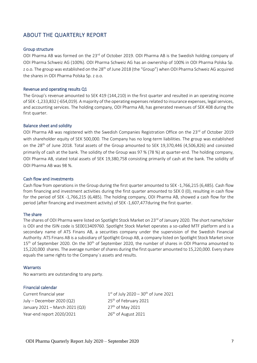# ABOUT THE QUARTERLY REPORT

#### Group structure

ODI Pharma AB was formed on the 23<sup>rd</sup> of October 2019. ODI Pharma AB is the Swedish holding company of ODI Pharma Schweiz AG (100%). ODI Pharma Schweiz AG has an ownership of 100% in ODI Pharma Polska Sp. z o.o. The group was established on the 28<sup>th</sup> of June 2018 (the "Group") when ODI Pharma Schweiz AG acquired the shares in ODI Pharma Polska Sp. z o.o.

#### Revenue and operating results Q1

The Group's revenue amounted to SEK 419 (144,210) in the first quarter and resulted in an operating income of SEK -1,233,832 (-654,019). A majority of the operating expenses related to insurance expenses, legal services, and accounting services. The holding company, ODI Pharma AB, has generated revenues of SEK 408 during the first quarter.

#### Balance sheet and solidity

ODI Pharma AB was registered with the Swedish Companies Registration Office on the 23<sup>rd</sup> of October 2019 with shareholder equity of SEK 500,000. The Company has no long-term liabilities. The group was established on the 28<sup>th</sup> of June 2018. Total assets of the Group amounted to SEK 19,370,446 (4,506,826) and consisted primarily of cash at the bank. The solidity of the Group was 97 % (78 %) at quarter-end. The holding company, ODI Pharma AB, stated total assets of SEK 19,380,758 consisting primarily of cash at the bank. The solidity of ODI Pharma AB was 98 %.

#### Cash flow and investments

Cash flow from operations in the Group during the first quarter amounted to SEK -1,766,215 (6,485). Cash flow from financing and investment activities during the first quarter amounted to SEK 0 (0), resulting in cash flow for the period of SEK -1,766,215 (6,485). The holding company, ODI Pharma AB, showed a cash flow for the period (after financing and investment activity) of SEK -1,607,477during the first quarter.

#### The share

The shares of ODI Pharma were listed on Spotlight Stock Market on 23<sup>rd</sup> of January 2020. The short name/ticker is ODI and the ISIN code is SE0013409760. Spotlight Stock Market operates a so-called MTF platform and is a secondary name of ATS Finans AB, a securities company under the supervision of the Swedish Financial Authority. ATS Finans AB is a subsidiary of Spotlight Group AB, a company listed on Spotlight Stock Market since 15<sup>th</sup> of September 2020. On the 30<sup>th</sup> of September 2020, the number of shares in ODI Pharma amounted to 15,220,000 shares. The average number of shares during the first quarter amounted to 15,220,000. Every share equals the same rights to the Company´s assets and results.

#### **Warrants**

No warrants are outstanding to any party.

#### Financial calendar

Current financial year 1 July – December 2020 (Q2)  $25<sup>th</sup>$  of February 2021 January 2021 – March 2021 (Q3) 27<sup>th</sup> of May 2021 Year-end report  $2020/2021$  26<sup>th</sup> of August 2021

 $1<sup>st</sup>$  of July 2020 – 30<sup>th</sup> of June 2021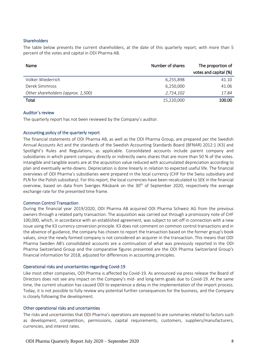#### Shareholders

The table below presents the current shareholders, at the date of this quarterly report, with more than 5 percent of the votes and capital in ODI Pharma AB.

| <b>Name</b>                        | Number of shares | The proportion of<br>votes and capital (%) |
|------------------------------------|------------------|--------------------------------------------|
|                                    |                  |                                            |
| Volker Wiederrich                  | 6,255,898        | 41.10                                      |
| Derek Simmross                     | 6,250,000        | 41.06                                      |
| Other shareholders (approx. 1,500) | 2,714,102        | 17.84                                      |
| Total                              | 15,220,000       | 100.00                                     |

#### Auditor´s review

The quarterly report has not been reviewed by the Company's auditor.

#### Accounting policy of the quarterly report

The financial statements of ODI Pharma AB, as well as the ODI Pharma Group, are prepared per the Swedish Annual Accounts Act and the standards of the Swedish Accounting Standards Board (BFNAR) 2012:1 (K3) and Spotlight's Rules and Regulations, as applicable. Consolidated accounts include parent company and subsidiaries in which parent company directly or indirectly owns shares that are more than 50 % of the votes. Intangible and tangible assets are at the acquisition value reduced with accumulated depreciation according to plan and eventually write-downs. Depreciation is done linearly in relation to expected useful life. The financial overviews of ODI Pharma's subsidiaries were prepared in the local currency (CHF for the Swiss subsidiary and PLN for the Polish subsidiary). For this report, the local currencies have been recalculated to SEK in the financial overview, based on data from Sveriges Riksbank on the 30<sup>th</sup> of September 2020, respectively the average exchange rate for the presented time frame.

#### Common Control Transaction

During the financial year 2019/2020, ODI Pharma AB acquired ODI Pharma Schweiz AG from the previous owners through a related party transaction. The acquisition was carried out through a promissory note of CHF 100,000, which, in accordance with an established agreement, was subject to set-off in connection with a new issue using the K3 currency conversion principle. K3 does not comment on common control transactions and in the absence of guidance, the company has chosen to report the transaction based on the former group's book values, since the newly formed company is not considered an acquirer in the transaction. This means that ODI Pharma Sweden AB's consolidated accounts are a continuation of what was previously reported in the ODI Pharma Switzerland Group and the comparative figures presented are the ODI Pharma Switzerland Group's financial information for 2018, adjusted for differences in accounting principles.

#### Operational risks and uncertainties regarding Covid-19

Like most other companies, ODI Pharma is affected by Covid-19. As announced via press release the Board of Directors does not see any impact on the Company's mid- and long-term goals due to Covid-19. At the same time, the current situation has caused ODI to experience a delay in the implementation of the import process. Today, it is not possible to fully review any potential further consequences for the business, and the Company is closely following the development.

#### Other operational risks and uncertainties

The risks and uncertainties that ODI Pharma's operations are exposed to are summaries related to factors such as development, competition, permissions, capital requirements, customers, suppliers/manufacturers, currencies, and interest rates.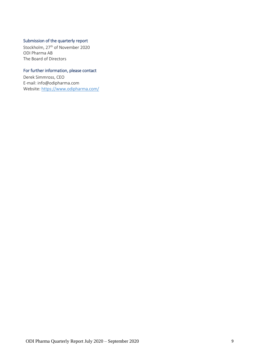## Submission of the quarterly report

Stockholm, 27<sup>th</sup> of November 2020 ODI Pharma AB The Board of Directors

#### For further information, please contact

Derek Simmross, CEO E-mail: info@odipharma.com Website:<https://www.odipharma.com/>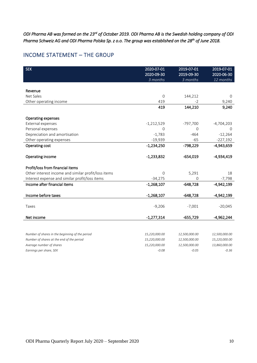*ODI Pharma AB was formed on the 23rd of October 2019. ODI Pharma AB is the Swedish holding company of ODI Pharma Schweiz AG and ODI Pharma Polska Sp. z o.o. The group was established on the 28th of June 2018.* 

## INCOME STATEMENT – THE GROUP

| <b>SEK</b>                                          | 2020-07-01<br>2020-09-30<br>3 months | 2019-07-01<br>2019-09-30<br>3 months | 2019-07-01<br>2020-06-30<br>12 months |
|-----------------------------------------------------|--------------------------------------|--------------------------------------|---------------------------------------|
| Revenue                                             |                                      |                                      |                                       |
| Net Sales                                           | 0                                    | 144,212                              | $\Omega$                              |
| Other operating income                              | 419                                  | $-2$                                 | 9,240                                 |
|                                                     | 419                                  | 144,210                              | 9,240                                 |
| Operating expenses                                  |                                      |                                      |                                       |
| External expenses                                   | $-1,212,529$                         | $-797,700$                           | $-4,704,203$                          |
| Personal expenses                                   | $\Omega$                             | 0                                    | $\Omega$                              |
| Depreciation and amortisation                       | $-1,783$                             | $-464$                               | $-12,264$                             |
| Other operating expenses                            | $-19,939$                            | $-65$                                | $-227,192$                            |
| Operating cost                                      | $-1,234,250$                         | $-798,229$                           | $-4,943,659$                          |
| Operating income                                    | $-1,233,832$                         | $-654,019$                           | $-4,934,419$                          |
| Profit/loss from financial items                    |                                      |                                      |                                       |
| Other interest income and similar profit/loss items | $\Omega$                             | 5,291                                | 18                                    |
| Interest expense and similar profit/loss items      | $-34,275$                            | 0                                    | $-7,798$                              |
| Income after financial items                        | $-1,268,107$                         | $-648,728$                           | $-4,942,199$                          |
| Income before taxes                                 | $-1,268,107$                         | $-648,728$                           | $-4,942,199$                          |
| Taxes                                               | $-9,206$                             | $-7,001$                             | $-20,045$                             |
| Net income                                          | $-1,277,314$                         | $-655,729$                           | $-4,962,244$                          |
|                                                     |                                      |                                      |                                       |
| Number of shares in the beginning of the period     | 15,220,000.00                        | 12,500,000.00                        | 12,500,000.00                         |
| Number of shares at the end of the period           | 15,220,000.00                        | 12,500,000.00                        | 15,220,000.00                         |
| Average number of shares                            | 15,220,000.00                        | 12,500,000.00                        | 13,860,000.00                         |
| Earnings per share, SEK                             | $-0.08$                              | $-0.05$                              | $-0.36$                               |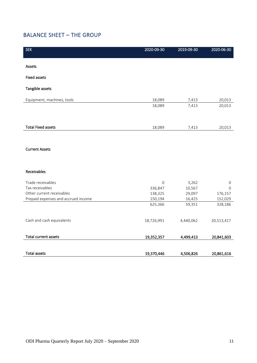# BALANCE SHEET – THE GROUP

| <b>SEK</b>                          | 2020-09-30  | 2019-09-30 | 2020-06-30  |
|-------------------------------------|-------------|------------|-------------|
|                                     |             |            |             |
| Assets                              |             |            |             |
| <b>Fixed assets</b>                 |             |            |             |
| Tangible assets                     |             |            |             |
|                                     |             |            |             |
| Equipment, machines, tools          | 18,089      | 7,413      | 20,013      |
|                                     | 18,089      | 7,413      | 20,013      |
|                                     |             |            |             |
| <b>Total Fixed assets</b>           | 18,089      | 7,413      | 20,013      |
|                                     |             |            |             |
|                                     |             |            |             |
| <b>Current Assets</b>               |             |            |             |
|                                     |             |            |             |
|                                     |             |            |             |
| Receivables                         |             |            |             |
| Trade receivables                   | $\mathbf 0$ | 3,262      | $\mathbf 0$ |
| Tax receivables                     | 336,847     | 10,567     | $\mathbf 0$ |
| Other current receivables           | 138,325     | 29,097     | 176,157     |
| Prepaid expenses and accrued income | 150,194     | 16,425     | 152,029     |
|                                     | 625,366     | 59,351     | 328,186     |
|                                     |             |            |             |
| Cash and cash equivalents           | 18,726,991  | 4,440,062  | 20,513,417  |
|                                     |             |            |             |
| <b>Total current assets</b>         | 19,352,357  | 4,499,413  | 20,841,603  |
|                                     |             |            |             |
| <b>Total assets</b>                 | 19,370,446  | 4,506,826  | 20,861,616  |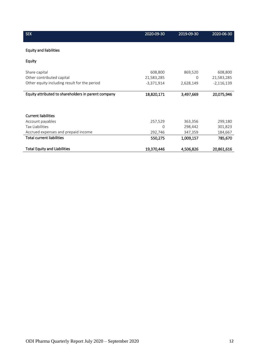| <b>SEK</b>                                          | 2020-09-30   | 2019-09-30 | 2020-06-30   |
|-----------------------------------------------------|--------------|------------|--------------|
| <b>Equity and liabilities</b>                       |              |            |              |
| Equity                                              |              |            |              |
| Share capital                                       | 608,800      | 869,520    | 608,800      |
| Other contributed capital                           | 21,583,285   | 0          | 21,583,285   |
| Other equity including result for the period        | $-3,371,914$ | 2,628,149  | $-2,116,139$ |
| Equity attributed to shareholders in parent company | 18,820,171   | 3,497,669  | 20,075,946   |
| <b>Current liabilities</b>                          |              |            |              |
| Account payables                                    | 257,529      | 363,356    | 299,180      |
| <b>Tax Liabilities</b>                              | 0            | 298,442    | 301,823      |
| Accrued expenses and prepaid income                 | 292,746      | 347,359    | 184,667      |
| <b>Total current liabilities</b>                    | 550,275      | 1,009,157  | 785,670      |
| <b>Total Equity and Liabilities</b>                 | 19,370,446   | 4,506,826  | 20,861,616   |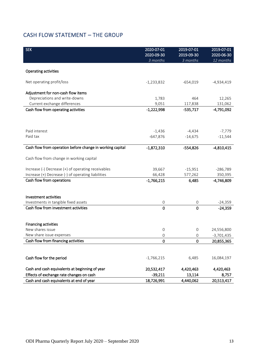# CASH FLOW STATEMENT – THE GROUP

| <b>SEK</b>                                                | 2020-07-01             | 2019-07-01             | 2019-07-01              |
|-----------------------------------------------------------|------------------------|------------------------|-------------------------|
|                                                           | 2020-09-30<br>3 months | 2019-09-30<br>3 months | 2020-06-30<br>12 months |
|                                                           |                        |                        |                         |
| <b>Operating activities</b>                               |                        |                        |                         |
| Net operating profit/loss                                 | $-1,233,832$           | $-654,019$             | -4,934,419              |
| Adjustment for non-cash flow items                        |                        |                        |                         |
| Depreciations and write-downs                             | 1,783                  | 464                    | 12,265                  |
| Current exchange differences                              | 9,051                  | 117,838                | 131,062                 |
| Cash flow from operating activities                       | $-1,222,998$           | $-535,717$             | $-4,791,092$            |
|                                                           |                        |                        |                         |
|                                                           |                        |                        |                         |
| Paid interest                                             | $-1,436$               | $-4,434$               | $-7,779$                |
| Paid tax                                                  | $-647,876$             | $-14,675$              | $-11,544$               |
|                                                           |                        |                        |                         |
| Cash flow from operation before change in working capital | $-1,872,310$           | $-554,826$             | $-4,810,415$            |
|                                                           |                        |                        |                         |
| Cash flow from change in working capital                  |                        |                        |                         |
| Increase (-) Decrease (+) of operating receivables        | 39,667                 | $-15,951$              | $-286,789$              |
| Increase (+) Decrease (-) of operating liabilities        | 66,428                 | 577,262                | 350,395                 |
| Cash flow from operations                                 | $-1,766,215$           | 6,485                  | $-4,746,809$            |
|                                                           |                        |                        |                         |
|                                                           |                        |                        |                         |
| Investment activities                                     |                        |                        |                         |
| Investments in tangible fixed assets                      | 0                      | 0                      | $-24,359$               |
| Cash flow from investment activities                      | $\mathbf 0$            | 0                      | $-24,359$               |
|                                                           |                        |                        |                         |
| <b>Financing activities</b>                               |                        |                        |                         |
| New shares issue                                          | 0                      | 0                      | 24,556,800              |
| New share issue expenses                                  | 0                      | 0                      | $-3,701,435$            |
| Cash flow from financing activities                       | 0                      | 0                      | 20,855,365              |
|                                                           |                        |                        |                         |
|                                                           |                        |                        |                         |
| Cash flow for the period                                  | $-1,766,215$           | 6,485                  | 16,084,197              |
|                                                           |                        |                        |                         |
| Cash and cash equivalents at beginning of year            | 20,532,417             | 4,420,463              | 4,420,463               |
| Effects of exchange rate changes on cash                  | $-39,211$              | 13,114                 | 8,757                   |
| Cash and cash equivalents at end of year                  | 18,726,991             | 4,440,062              | 20,513,417              |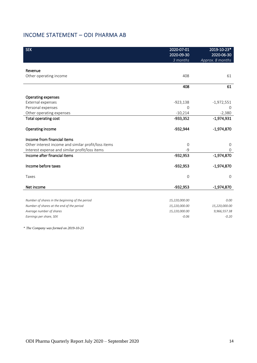# INCOME STATEMENT – ODI PHARMA AB

| <b>SEK</b>                                          | 2020-07-01<br>2020-09-30<br>3 months | 2019-10-23*<br>2020-06-30<br>Approx. 8 months |
|-----------------------------------------------------|--------------------------------------|-----------------------------------------------|
|                                                     |                                      |                                               |
| Revenue<br>Other operating income                   | 408                                  | 61                                            |
|                                                     |                                      |                                               |
|                                                     | 408                                  | 61                                            |
| Operating expenses                                  |                                      |                                               |
| External expenses                                   | $-923,138$                           | $-1,972,551$                                  |
| Personal expenses                                   | $\overline{0}$                       | $\Omega$                                      |
| Other operating expenses                            | $-10,214$                            | $-2,380$                                      |
| <b>Total operating cost</b>                         | $-933,352$                           | $-1,974,931$                                  |
| Operating income                                    | -932,944                             | $-1,974,870$                                  |
| Income from financial items                         |                                      |                                               |
| Other interest income and similar profit/loss items | $\mathbf 0$                          | 0                                             |
| Interest expense and similar profit/loss items      | $-9$                                 | 0                                             |
| Income after financial items                        | $-932,953$                           | $-1,974,870$                                  |
| Income before taxes                                 | $-932,953$                           | $-1,974,870$                                  |
| Taxes                                               | $\mathbf 0$                          | $\mathbf{O}$                                  |
| Net income                                          | -932,953                             | $-1,974,870$                                  |
|                                                     |                                      |                                               |
| Number of shares in the beginning of the period     | 15,220,000.00                        | 0.00                                          |
| Number of shares at the end of the period           | 15,220,000.00                        | 15,220,000.00                                 |
| Average number of shares                            | 15,220,000.00                        | 9,966,557.38                                  |
| Earnings per share, SEK                             | $-0.06$                              | $-0.20$                                       |

*\* The Company was formed on 2019-10-23*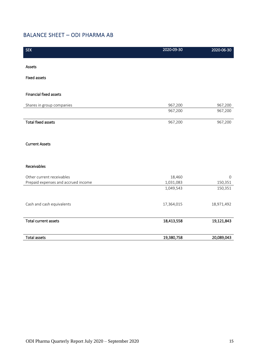# BALANCE SHEET – ODI PHARMA AB

| <b>SEK</b>                          | 2020-09-30 | 2020-06-30  |
|-------------------------------------|------------|-------------|
| Assets                              |            |             |
| <b>Fixed assets</b>                 |            |             |
|                                     |            |             |
| <b>Financial fixed assets</b>       |            |             |
| Shares in group companies           | 967,200    | 967,200     |
|                                     | 967,200    | 967,200     |
| <b>Total fixed assets</b>           | 967,200    | 967,200     |
|                                     |            |             |
| <b>Current Assets</b>               |            |             |
|                                     |            |             |
| Receivables                         |            |             |
|                                     |            |             |
| Other current receivables           | 18,460     | $\mathbf 0$ |
| Prepaid expenses and accrued income | 1,031,083  | 150,351     |
|                                     | 1,049,543  | 150,351     |
| Cash and cash equivalents           | 17,364,015 | 18,971,492  |
|                                     |            |             |
| <b>Total current assets</b>         | 18,413,558 | 19,121,843  |
|                                     |            |             |
| <b>Total assets</b>                 | 19,380,758 | 20,089,043  |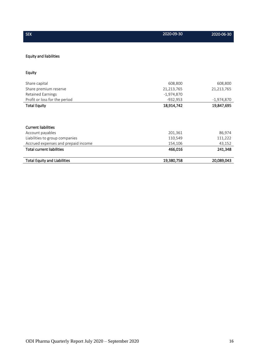| <b>SEK</b>                          | 2020-09-30   | 2020-06-30   |
|-------------------------------------|--------------|--------------|
| <b>Equity and liabilities</b>       |              |              |
| Equity                              |              |              |
|                                     |              |              |
| Share capital                       | 608,800      | 608,800      |
| Share premium reserve               | 21,213,765   | 21,213,765   |
| <b>Retained Earnings</b>            | $-1,974,870$ |              |
| Profit or loss for the period       | $-932,953$   | $-1,974,870$ |
| <b>Total Equity</b>                 | 18,914,742   | 19,847,695   |
|                                     |              |              |
|                                     |              |              |
| <b>Current liabilities</b>          |              |              |
| Account payables                    | 201,361      | 86,974       |
| Liabilities to group companies      | 110,549      | 111,222      |
| Accrued expenses and prepaid income | 154,106      | 43,152       |
| <b>Total current liabilities</b>    | 466,016      | 241,348      |
| <b>Total Equity and Liabilities</b> | 19,380,758   | 20,089,043   |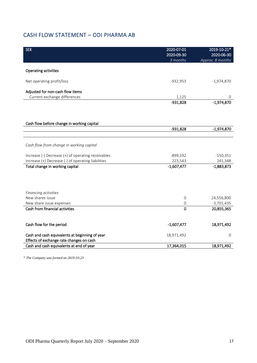# CASH FLOW STATEMENT – ODI PHARMA AB

| <b>SEK</b>                                                                                 | 2020-07-01<br>2020-09-30<br>3 months | 2019-10-21*<br>2020-06-30<br>Approx. 8 months |
|--------------------------------------------------------------------------------------------|--------------------------------------|-----------------------------------------------|
|                                                                                            |                                      |                                               |
| Operating activities                                                                       |                                      |                                               |
| Net operating profit/loss                                                                  | $-932,953$                           | $-1,974,870$                                  |
| Adjusted for non-cash flow items                                                           |                                      |                                               |
| Current exchange differences                                                               | 1,125                                | 0                                             |
|                                                                                            | $-931,828$                           | $-1,974,870$                                  |
|                                                                                            |                                      |                                               |
|                                                                                            |                                      |                                               |
| Cash flow before change in working capital                                                 |                                      |                                               |
|                                                                                            | $-931,828$                           | $-1,974,870$                                  |
|                                                                                            |                                      |                                               |
| Cash flow from change in working capital                                                   |                                      |                                               |
| Increase (-) Decrease (+) of operating receivables                                         | $-899,192$                           | $-150,351$                                    |
| Increase (+) Decrease (-) of operating liabilities                                         | 223,543                              | 241,348                                       |
| Total change in working capital                                                            | $-1,607,477$                         | $-1,883,873$                                  |
|                                                                                            |                                      |                                               |
| Financing activities                                                                       |                                      |                                               |
| New shares issue                                                                           | $\mathbf 0$                          | 24,556,800                                    |
| New share issue expenses                                                                   | $\mathbf 0$                          | $-3,701,435$                                  |
| Cash from financial activities                                                             | $\overline{0}$                       | 20,855,365                                    |
| Cash flow for the period                                                                   | $-1,607,477$                         | 18,971,492                                    |
| Cash and cash equivalents at beginning of year<br>Effects of exchange rate changes on cash | 18,971,492                           | $\mathbf{O}$                                  |
| Cash and cash equivalents at end of year                                                   | 17,364,015                           | 18,971,492                                    |
|                                                                                            |                                      |                                               |

*\* The Company was formed on 2019-10-23*